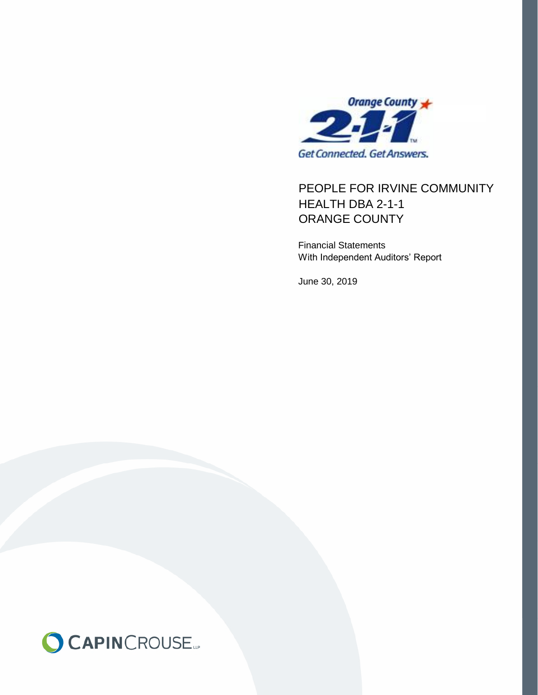

# PEOPLE FOR IRVINE COMMUNITY ORANGE COUNTY HEALTH DBA 2-1-1

Financial Statements With Independent Auditors' Report

June 30, 2019

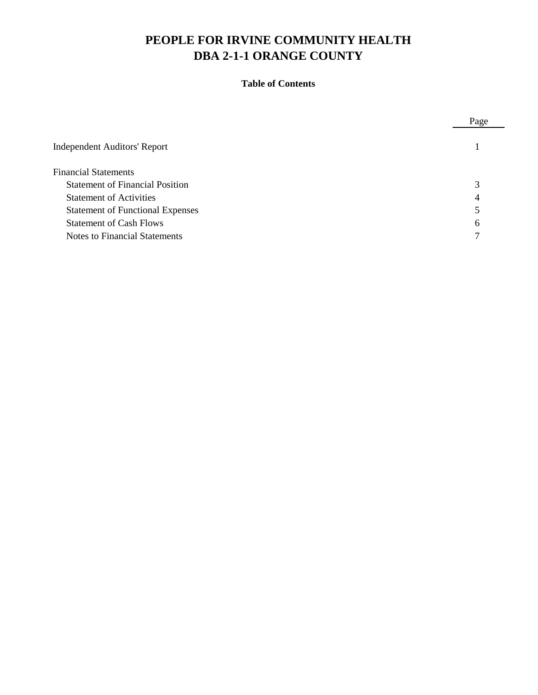# **Table of Contents**

|                                         | Page |
|-----------------------------------------|------|
| <b>Independent Auditors' Report</b>     |      |
| <b>Financial Statements</b>             |      |
| <b>Statement of Financial Position</b>  | 3    |
| <b>Statement of Activities</b>          | 4    |
| <b>Statement of Functional Expenses</b> |      |
| <b>Statement of Cash Flows</b>          | 6    |
| <b>Notes to Financial Statements</b>    |      |
|                                         |      |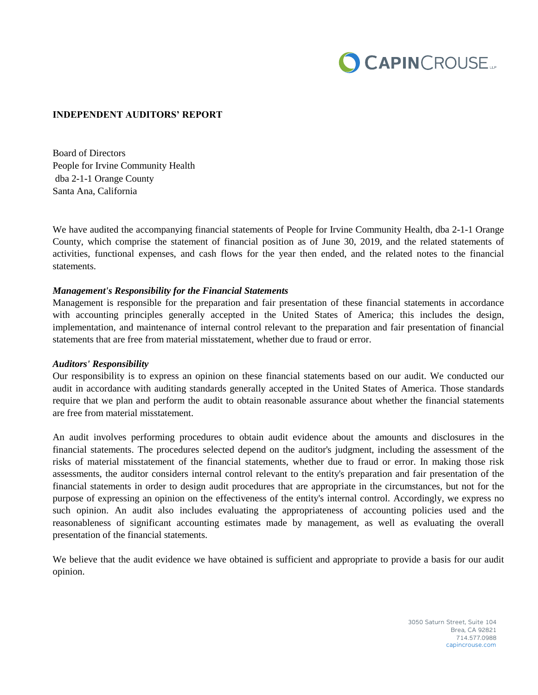

#### **INDEPENDENT AUDITORS' REPORT**

Board of Directors People for Irvine Community Health dba 2-1-1 Orange County Santa Ana, California

We have audited the accompanying financial statements of People for Irvine Community Health, dba 2-1-1 Orange County, which comprise the statement of financial position as of June 30, 2019, and the related statements of activities, functional expenses, and cash flows for the year then ended, and the related notes to the financial statements.

#### *Management's Responsibility for the Financial Statements*

Management is responsible for the preparation and fair presentation of these financial statements in accordance with accounting principles generally accepted in the United States of America; this includes the design, implementation, and maintenance of internal control relevant to the preparation and fair presentation of financial statements that are free from material misstatement, whether due to fraud or error.

#### *Auditors' Responsibility*

Our responsibility is to express an opinion on these financial statements based on our audit. We conducted our audit in accordance with auditing standards generally accepted in the United States of America. Those standards require that we plan and perform the audit to obtain reasonable assurance about whether the financial statements are free from material misstatement.

An audit involves performing procedures to obtain audit evidence about the amounts and disclosures in the financial statements. The procedures selected depend on the auditor's judgment, including the assessment of the risks of material misstatement of the financial statements, whether due to fraud or error. In making those risk assessments, the auditor considers internal control relevant to the entity's preparation and fair presentation of the financial statements in order to design audit procedures that are appropriate in the circumstances, but not for the purpose of expressing an opinion on the effectiveness of the entity's internal control. Accordingly, we express no such opinion. An audit also includes evaluating the appropriateness of accounting policies used and the reasonableness of significant accounting estimates made by management, as well as evaluating the overall presentation of the financial statements.

We believe that the audit evidence we have obtained is sufficient and appropriate to provide a basis for our audit opinion.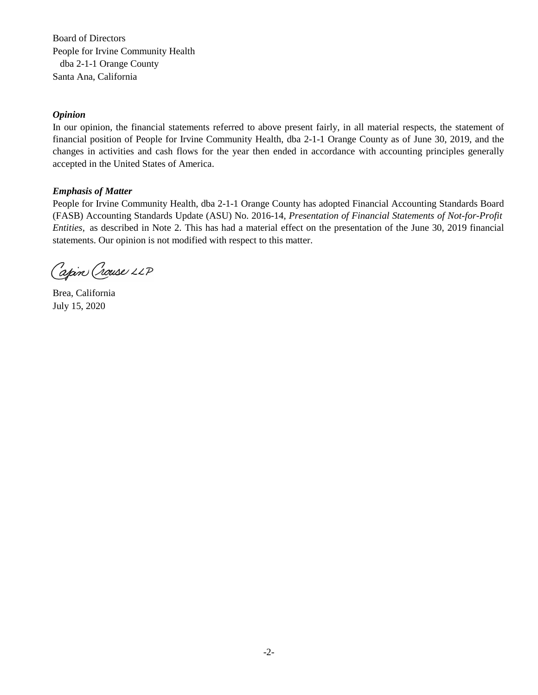Board of Directors are the responsibility of the organization of the organization of the organization of the organization of the organization of the organization of the organization of the organization of the organization People for Irvine Community Health dba 2-1-1 Orange County Santa Ana, California **We conducted our audition** standards generally accepted in the United States of United States of United States of United States of United States of United States of United States of United States of

#### *Opinion* control over financial reporting as a basis for designing audit procedures that are appropriate in the circumstances,  $\alpha$

In our opinion, the financial statements referred to above present fairly, in all material respects, the statement of financial position of People for Irvine Community Health, dba 2-1-1 Orange County as of June 30, 2019, and the changes in activities and cash flows for the year then ended in accordance with accounting principles generally accepted in the United States of America. presentation. We believe our audits provide a reasonable basis for our opinion.

### *Emphasis of Matter*

People for Irvine Community Health, dba 2-1-1 Orange County has adopted Financial Accounting Standards Board (FASB) Accounting Standards Update (ASU) No. 2016-14, Presentation of Financial Statements of Not-for-Profit Entities, as described in Note 2. This has had a material effect on the presentation of the June 30, 2019 financial statements. Our opinion is not modified with respect to this matter.

Capin Crouse LLP

Brea, California July 15, 2020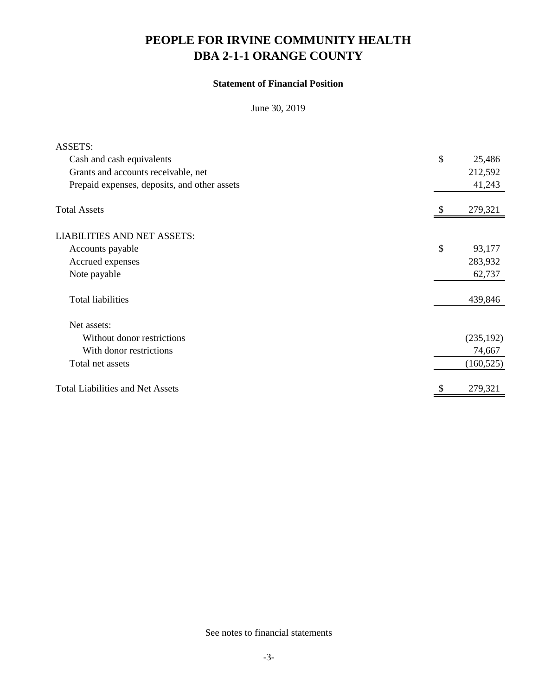# **Statement of Financial Position**

June 30, 2019

| <b>ASSETS:</b>                               |               |
|----------------------------------------------|---------------|
| Cash and cash equivalents                    | \$<br>25,486  |
| Grants and accounts receivable, net          | 212,592       |
| Prepaid expenses, deposits, and other assets | 41,243        |
| <b>Total Assets</b>                          | 279,321       |
| <b>LIABILITIES AND NET ASSETS:</b>           |               |
| Accounts payable                             | \$<br>93,177  |
| Accrued expenses                             | 283,932       |
| Note payable                                 | 62,737        |
| <b>Total liabilities</b>                     | 439,846       |
| Net assets:                                  |               |
| Without donor restrictions                   | (235, 192)    |
| With donor restrictions                      | 74,667        |
| Total net assets                             | (160, 525)    |
| <b>Total Liabilities and Net Assets</b>      | \$<br>279,321 |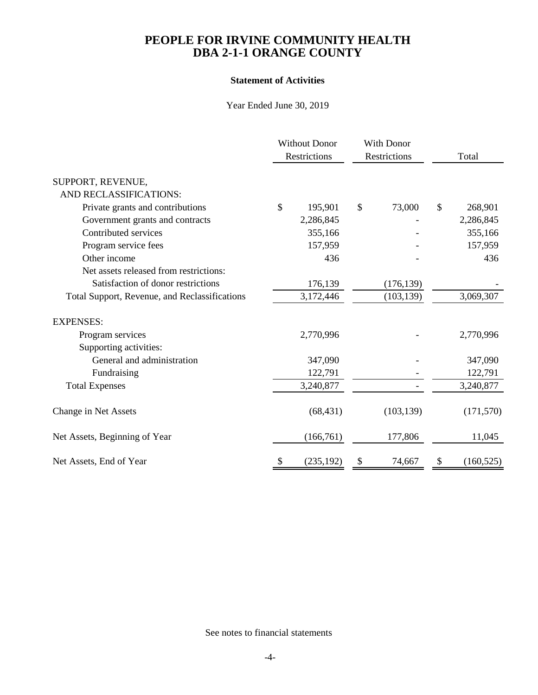## **Statement of Activities**

Year Ended June 30, 2019

|                                               |    | <b>Without Donor</b><br>Restrictions | <b>With Donor</b><br>Restrictions |            | Total |            |
|-----------------------------------------------|----|--------------------------------------|-----------------------------------|------------|-------|------------|
| SUPPORT, REVENUE,                             |    |                                      |                                   |            |       |            |
| AND RECLASSIFICATIONS:                        |    |                                      |                                   |            |       |            |
| Private grants and contributions              | \$ | 195,901                              | \$                                | 73,000     | \$    | 268,901    |
| Government grants and contracts               |    | 2,286,845                            |                                   |            |       | 2,286,845  |
| Contributed services                          |    | 355,166                              |                                   |            |       | 355,166    |
| Program service fees                          |    | 157,959                              |                                   |            |       | 157,959    |
| Other income                                  |    | 436                                  |                                   |            |       | 436        |
| Net assets released from restrictions:        |    |                                      |                                   |            |       |            |
| Satisfaction of donor restrictions            |    | 176,139                              |                                   | (176, 139) |       |            |
| Total Support, Revenue, and Reclassifications |    | 3,172,446                            |                                   | (103, 139) |       | 3,069,307  |
| <b>EXPENSES:</b>                              |    |                                      |                                   |            |       |            |
| Program services                              |    | 2,770,996                            |                                   |            |       | 2,770,996  |
| Supporting activities:                        |    |                                      |                                   |            |       |            |
| General and administration                    |    | 347,090                              |                                   |            |       | 347,090    |
| Fundraising                                   |    | 122,791                              |                                   |            |       | 122,791    |
| <b>Total Expenses</b>                         |    | 3,240,877                            |                                   |            |       | 3,240,877  |
| Change in Net Assets                          |    | (68, 431)                            |                                   | (103, 139) |       | (171, 570) |
| Net Assets, Beginning of Year                 |    | (166,761)                            |                                   | 177,806    |       | 11,045     |
| Net Assets, End of Year                       | \$ | (235, 192)                           | \$                                | 74,667     | \$    | (160, 525) |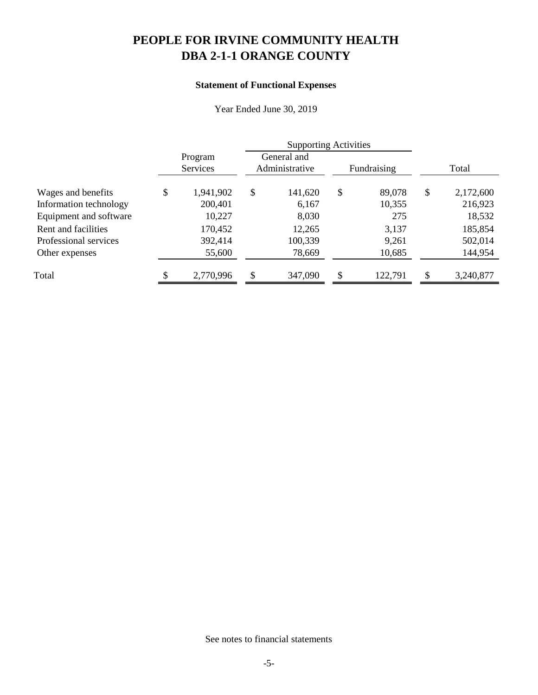# **Statement of Functional Expenses**

Year Ended June 30, 2019

|                        | <b>Supporting Activities</b> |           |                               |         |               |         |               |           |
|------------------------|------------------------------|-----------|-------------------------------|---------|---------------|---------|---------------|-----------|
|                        | Program<br>Services          |           | General and<br>Administrative |         | Fundraising   |         | Total         |           |
| Wages and benefits     | \$                           | 1,941,902 | \$                            | 141,620 | $\mathcal{S}$ | 89,078  | $\mathcal{S}$ | 2,172,600 |
| Information technology |                              | 200,401   |                               | 6,167   |               | 10,355  |               | 216,923   |
| Equipment and software |                              | 10,227    |                               | 8,030   |               | 275     |               | 18,532    |
| Rent and facilities    |                              | 170,452   |                               | 12,265  |               | 3,137   |               | 185,854   |
| Professional services  |                              | 392,414   |                               | 100,339 |               | 9,261   |               | 502,014   |
| Other expenses         |                              | 55,600    |                               | 78,669  |               | 10,685  |               | 144,954   |
| Total                  |                              | 2,770,996 | \$                            | 347,090 | \$            | 122,791 | \$.           | 3,240,877 |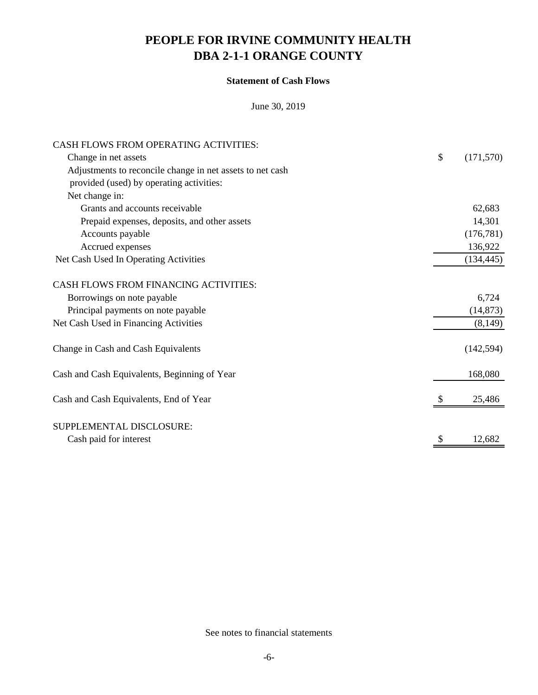# **Statement of Cash Flows**

June 30, 2019

| CASH FLOWS FROM OPERATING ACTIVITIES:                     |                  |
|-----------------------------------------------------------|------------------|
| Change in net assets                                      | \$<br>(171, 570) |
| Adjustments to reconcile change in net assets to net cash |                  |
| provided (used) by operating activities:                  |                  |
| Net change in:                                            |                  |
| Grants and accounts receivable                            | 62,683           |
| Prepaid expenses, deposits, and other assets              | 14,301           |
| Accounts payable                                          | (176, 781)       |
| Accrued expenses                                          | 136,922          |
| Net Cash Used In Operating Activities                     | (134, 445)       |
| CASH FLOWS FROM FINANCING ACTIVITIES:                     |                  |
| Borrowings on note payable                                | 6,724            |
| Principal payments on note payable                        | (14, 873)        |
| Net Cash Used in Financing Activities                     | (8,149)          |
| Change in Cash and Cash Equivalents                       | (142, 594)       |
| Cash and Cash Equivalents, Beginning of Year              | 168,080          |
| Cash and Cash Equivalents, End of Year                    | 25,486           |
| SUPPLEMENTAL DISCLOSURE:                                  |                  |
| Cash paid for interest                                    | 12,682           |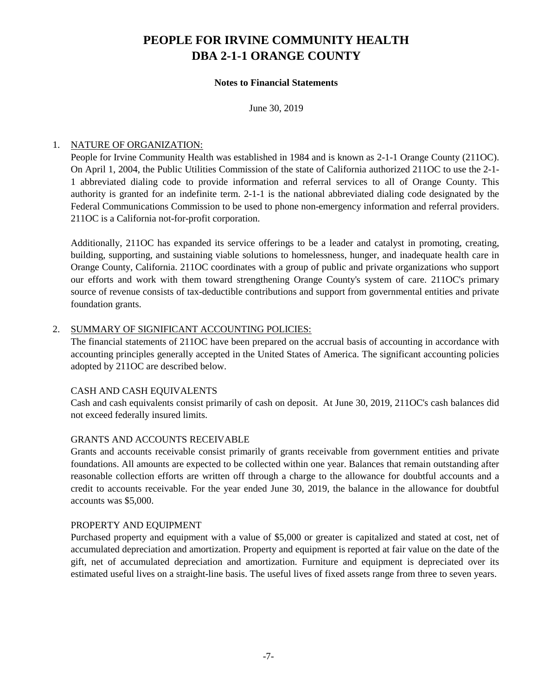## **Notes to Financial Statements**

June 30, 2019

# 1. NATURE OF ORGANIZATION:

People for Irvine Community Health was established in 1984 and is known as 2-1-1 Orange County (211OC). On April 1, 2004, the Public Utilities Commission of the state of California authorized 211OC to use the 2-1- 1 abbreviated dialing code to provide information and referral services to all of Orange County. This authority is granted for an indefinite term. 2-1-1 is the national abbreviated dialing code designated by the Federal Communications Commission to be used to phone non-emergency information and referral providers. 211OC is a California not-for-profit corporation.

Additionally, 211OC has expanded its service offerings to be a leader and catalyst in promoting, creating, building, supporting, and sustaining viable solutions to homelessness, hunger, and inadequate health care in Orange County, California. 211OC coordinates with a group of public and private organizations who support our efforts and work with them toward strengthening Orange County's system of care. 211OC's primary source of revenue consists of tax-deductible contributions and support from governmental entities and private foundation grants.

## 2. SUMMARY OF SIGNIFICANT ACCOUNTING POLICIES:

The financial statements of 211OC have been prepared on the accrual basis of accounting in accordance with accounting principles generally accepted in the United States of America. The significant accounting policies adopted by 211OC are described below.

# CASH AND CASH EQUIVALENTS

Cash and cash equivalents consist primarily of cash on deposit. At June 30, 2019, 211OC's cash balances did not exceed federally insured limits.

### GRANTS AND ACCOUNTS RECEIVABLE

Grants and accounts receivable consist primarily of grants receivable from government entities and private foundations. All amounts are expected to be collected within one year. Balances that remain outstanding after reasonable collection efforts are written off through a charge to the allowance for doubtful accounts and a credit to accounts receivable. For the year ended June 30, 2019, the balance in the allowance for doubtful accounts was \$5,000.

### PROPERTY AND EQUIPMENT

Purchased property and equipment with a value of \$5,000 or greater is capitalized and stated at cost, net of accumulated depreciation and amortization. Property and equipment is reported at fair value on the date of the gift, net of accumulated depreciation and amortization. Furniture and equipment is depreciated over its estimated useful lives on a straight-line basis. The useful lives of fixed assets range from three to seven years.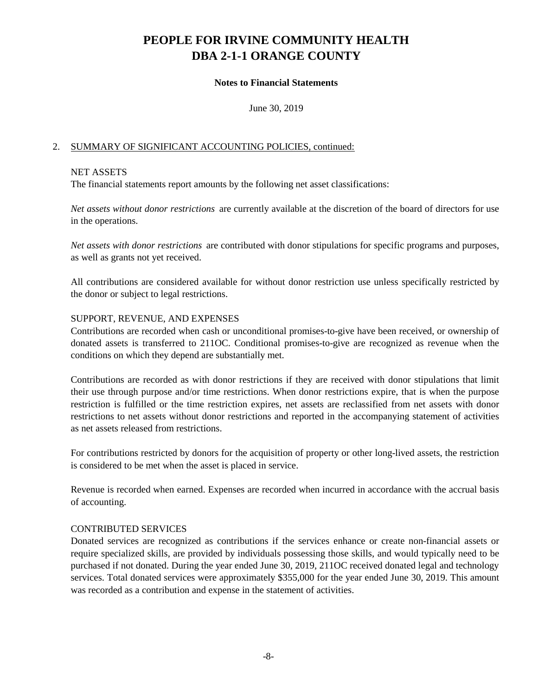## **Notes to Financial Statements**

June 30, 2019

# 2. SUMMARY OF SIGNIFICANT ACCOUNTING POLICIES, continued:

### NET ASSETS

The financial statements report amounts by the following net asset classifications:

*Net assets without donor restrictions* are currently available at the discretion of the board of directors for use in the operations.

*Net assets with donor restrictions* are contributed with donor stipulations for specific programs and purposes, as well as grants not yet received.

All contributions are considered available for without donor restriction use unless specifically restricted by the donor or subject to legal restrictions.

### SUPPORT, REVENUE, AND EXPENSES

Contributions are recorded when cash or unconditional promises-to-give have been received, or ownership of donated assets is transferred to 211OC. Conditional promises-to-give are recognized as revenue when the conditions on which they depend are substantially met.

Contributions are recorded as with donor restrictions if they are received with donor stipulations that limit their use through purpose and/or time restrictions. When donor restrictions expire, that is when the purpose restriction is fulfilled or the time restriction expires, net assets are reclassified from net assets with donor restrictions to net assets without donor restrictions and reported in the accompanying statement of activities as net assets released from restrictions.

For contributions restricted by donors for the acquisition of property or other long-lived assets, the restriction is considered to be met when the asset is placed in service.

Revenue is recorded when earned. Expenses are recorded when incurred in accordance with the accrual basis of accounting.

### CONTRIBUTED SERVICES

Donated services are recognized as contributions if the services enhance or create non-financial assets or require specialized skills, are provided by individuals possessing those skills, and would typically need to be purchased if not donated. During the year ended June 30, 2019, 211OC received donated legal and technology services. Total donated services were approximately \$355,000 for the year ended June 30, 2019. This amount was recorded as a contribution and expense in the statement of activities.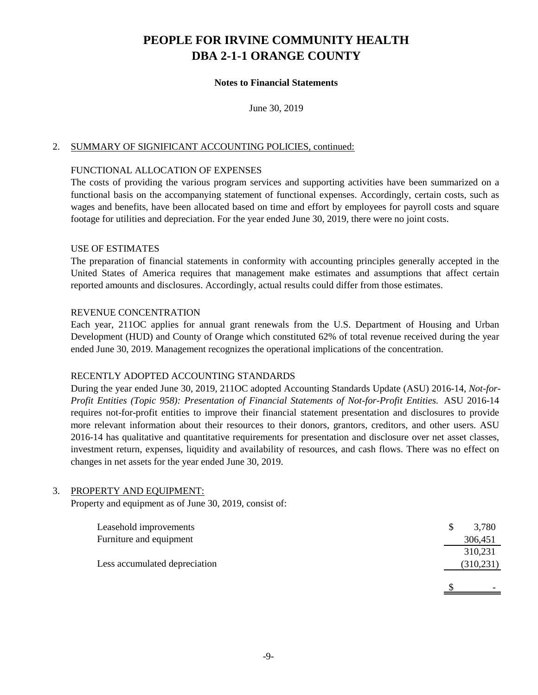## **Notes to Financial Statements**

June 30, 2019

### 2. SUMMARY OF SIGNIFICANT ACCOUNTING POLICIES, continued:

### FUNCTIONAL ALLOCATION OF EXPENSES

The costs of providing the various program services and supporting activities have been summarized on a functional basis on the accompanying statement of functional expenses. Accordingly, certain costs, such as wages and benefits, have been allocated based on time and effort by employees for payroll costs and square footage for utilities and depreciation. For the year ended June 30, 2019, there were no joint costs.

#### USE OF ESTIMATES

The preparation of financial statements in conformity with accounting principles generally accepted in the United States of America requires that management make estimates and assumptions that affect certain reported amounts and disclosures. Accordingly, actual results could differ from those estimates.

#### REVENUE CONCENTRATION

Each year, 211OC applies for annual grant renewals from the U.S. Department of Housing and Urban Development (HUD) and County of Orange which constituted 62% of total revenue received during the year ended June 30, 2019. Management recognizes the operational implications of the concentration.

### RECENTLY ADOPTED ACCOUNTING STANDARDS

During the year ended June 30, 2019, 211OC adopted Accounting Standards Update (ASU) 2016-14, *Not-for-Profit Entities (Topic 958): Presentation of Financial Statements of Not-for-Profit Entities.* ASU 2016-14 requires not-for-profit entities to improve their financial statement presentation and disclosures to provide more relevant information about their resources to their donors, grantors, creditors, and other users. ASU 2016-14 has qualitative and quantitative requirements for presentation and disclosure over net asset classes, investment return, expenses, liquidity and availability of resources, and cash flows. There was no effect on changes in net assets for the year ended June 30, 2019.

### 3. PROPERTY AND EQUIPMENT:

Property and equipment as of June 30, 2019, consist of:

| Leasehold improvements        | 3,780      |
|-------------------------------|------------|
| Furniture and equipment       | 306,451    |
|                               | 310,231    |
| Less accumulated depreciation | (310, 231) |
|                               |            |
|                               |            |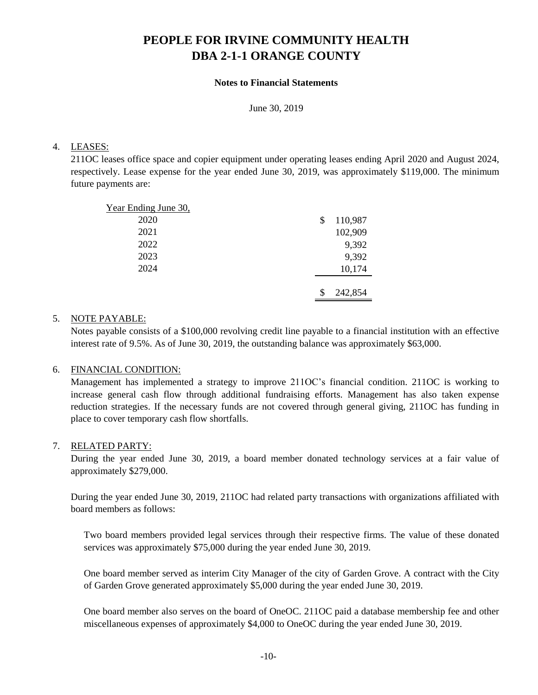### **Notes to Financial Statements**

June 30, 2019

# 4. LEASES:

211OC leases office space and copier equipment under operating leases ending April 2020 and August 2024, respectively. Lease expense for the year ended June 30, 2019, was approximately \$119,000. The minimum future payments are:

| Year Ending June 30, |               |
|----------------------|---------------|
| 2020                 | \$<br>110,987 |
| 2021                 | 102,909       |
| 2022                 | 9,392         |
| 2023                 | 9,392         |
| 2024                 | 10,174        |
|                      |               |
|                      | 242,854       |

# 5. NOTE PAYABLE:

Notes payable consists of a \$100,000 revolving credit line payable to a financial institution with an effective interest rate of 9.5%. As of June 30, 2019, the outstanding balance was approximately \$63,000.

# 6. FINANCIAL CONDITION:

Management has implemented a strategy to improve 211OC's financial condition. 211OC is working to increase general cash flow through additional fundraising efforts. Management has also taken expense reduction strategies. If the necessary funds are not covered through general giving, 211OC has funding in place to cover temporary cash flow shortfalls.

# 7. RELATED PARTY:

During the year ended June 30, 2019, a board member donated technology services at a fair value of approximately \$279,000.

During the year ended June 30, 2019, 211OC had related party transactions with organizations affiliated with board members as follows:

Two board members provided legal services through their respective firms. The value of these donated services was approximately \$75,000 during the year ended June 30, 2019.

One board member served as interim City Manager of the city of Garden Grove. A contract with the City of Garden Grove generated approximately \$5,000 during the year ended June 30, 2019.

One board member also serves on the board of OneOC. 211OC paid a database membership fee and other miscellaneous expenses of approximately \$4,000 to OneOC during the year ended June 30, 2019.